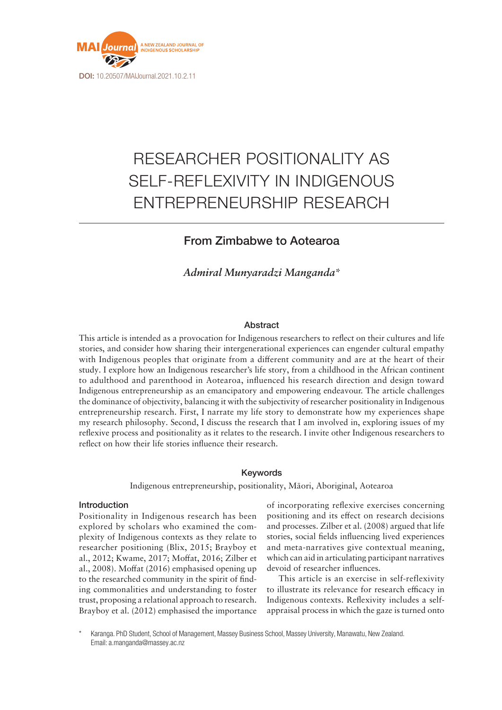

# RESEARCHER POSITIONALITY AS SELF-REFLEXIVITY IN INDIGENOUS ENTREPRENEURSHIP RESEARCH

## From Zimbabwe to Aotearoa

*Admiral Munyaradzi Manganda\**

## Abstract

This article is intended as a provocation for Indigenous researchers to reflect on their cultures and life stories, and consider how sharing their intergenerational experiences can engender cultural empathy with Indigenous peoples that originate from a different community and are at the heart of their study. I explore how an Indigenous researcher's life story, from a childhood in the African continent to adulthood and parenthood in Aotearoa, influenced his research direction and design toward Indigenous entrepreneurship as an emancipatory and empowering endeavour. The article challenges the dominance of objectivity, balancing it with the subjectivity of researcher positionality in Indigenous entrepreneurship research. First, I narrate my life story to demonstrate how my experiences shape my research philosophy. Second, I discuss the research that I am involved in, exploring issues of my reflexive process and positionality as it relates to the research. I invite other Indigenous researchers to reflect on how their life stories influence their research.

## Keywords

Indigenous entrepreneurship, positionality, Māori, Aboriginal, Aotearoa

## Introduction

Positionality in Indigenous research has been explored by scholars who examined the complexity of Indigenous contexts as they relate to researcher positioning (Blix, 2015; Brayboy et al., 2012; Kwame, 2017; Moffat, 2016; Zilber et al., 2008). Moffat (2016) emphasised opening up to the researched community in the spirit of finding commonalities and understanding to foster trust, proposing a relational approach to research. Brayboy et al. (2012) emphasised the importance of incorporating reflexive exercises concerning positioning and its effect on research decisions and processes. Zilber et al. (2008) argued that life stories, social fields influencing lived experiences and meta-narratives give contextual meaning, which can aid in articulating participant narratives devoid of researcher influences.

This article is an exercise in self-reflexivity to illustrate its relevance for research efficacy in Indigenous contexts. Reflexivity includes a selfappraisal process in which the gaze is turned onto

\* Karanga. PhD Student, School of Management, Massey Business School, Massey University, Manawatu, New Zealand. Email: [a.manganda@massey.ac.nz](mailto:a.manganda@massey.ac.nz)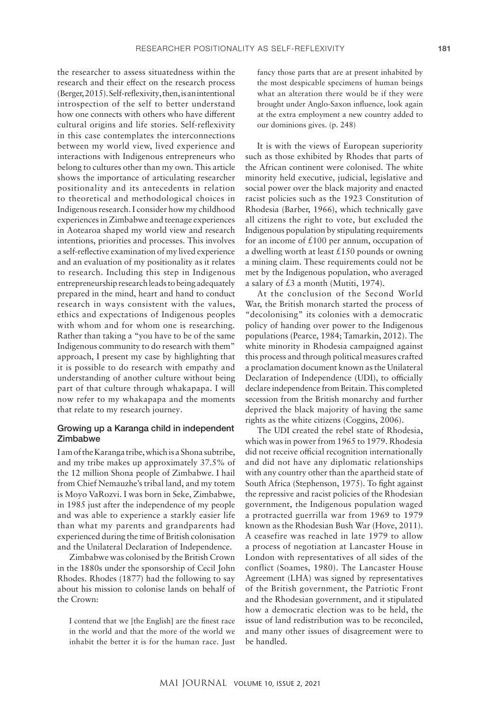the researcher to assess situatedness within the research and their effect on the research process (Berger, 2015). Self-reflexivity, then, is an intentional introspection of the self to better understand how one connects with others who have different cultural origins and life stories. Self-reflexivity in this case contemplates the interconnections between my world view, lived experience and interactions with Indigenous entrepreneurs who belong to cultures other than my own. This article shows the importance of articulating researcher positionality and its antecedents in relation to theoretical and methodological choices in Indigenous research. I consider how my childhood experiences in Zimbabwe and teenage experiences in Aotearoa shaped my world view and research intentions, priorities and processes. This involves a self-reflective examination of my lived experience and an evaluation of my positionality as it relates to research. Including this step in Indigenous entrepreneurship research leads to being adequately prepared in the mind, heart and hand to conduct research in ways consistent with the values, ethics and expectations of Indigenous peoples with whom and for whom one is researching. Rather than taking a "you have to be of the same Indigenous community to do research with them" approach, I present my case by highlighting that it is possible to do research with empathy and understanding of another culture without being part of that culture through whakapapa. I will now refer to my whakapapa and the moments that relate to my research journey.

## Growing up a Karanga child in independent **Zimbabwe**

I am of the Karanga tribe, which is a Shona subtribe, and my tribe makes up approximately 37.5% of the 12 million Shona people of Zimbabwe. I hail from Chief Nemauzhe's tribal land, and my totem is Moyo VaRozvi. I was born in Seke, Zimbabwe, in 1985 just after the independence of my people and was able to experience a starkly easier life than what my parents and grandparents had experienced during the time of British colonisation and the Unilateral Declaration of Independence.

Zimbabwe was colonised by the British Crown in the 1880s under the sponsorship of Cecil John Rhodes. Rhodes (1877) had the following to say about his mission to colonise lands on behalf of the Crown:

I contend that we [the English] are the finest race in the world and that the more of the world we inhabit the better it is for the human race. Just fancy those parts that are at present inhabited by the most despicable specimens of human beings what an alteration there would be if they were brought under Anglo-Saxon influence, look again at the extra employment a new country added to our dominions gives. (p. 248)

It is with the views of European superiority such as those exhibited by Rhodes that parts of the African continent were colonised. The white minority held executive, judicial, legislative and social power over the black majority and enacted racist policies such as the 1923 Constitution of Rhodesia (Barber, 1966), which technically gave all citizens the right to vote, but excluded the Indigenous population by stipulating requirements for an income of  $\text{\pounds}100$  per annum, occupation of a dwelling worth at least  $£150$  pounds or owning a mining claim. These requirements could not be met by the Indigenous population, who averaged a salary of  $£3$  a month (Mutiti, 1974).

At the conclusion of the Second World War, the British monarch started the process of "decolonising" its colonies with a democratic policy of handing over power to the Indigenous populations (Pearce, 1984; Tamarkin, 2012). The white minority in Rhodesia campaigned against this process and through political measures crafted a proclamation document known as the Unilateral Declaration of Independence (UDI), to officially declare independence from Britain. This completed secession from the British monarchy and further deprived the black majority of having the same rights as the white citizens (Coggins, 2006).

The UDI created the rebel state of Rhodesia, which was in power from 1965 to 1979. Rhodesia did not receive official recognition internationally and did not have any diplomatic relationships with any country other than the apartheid state of South Africa (Stephenson, 1975). To fight against the repressive and racist policies of the Rhodesian government, the Indigenous population waged a protracted guerrilla war from 1969 to 1979 known as the Rhodesian Bush War (Hove, 2011). A ceasefire was reached in late 1979 to allow a process of negotiation at Lancaster House in London with representatives of all sides of the conflict (Soames, 1980). The Lancaster House Agreement (LHA) was signed by representatives of the British government, the Patriotic Front and the Rhodesian government, and it stipulated how a democratic election was to be held, the issue of land redistribution was to be reconciled, and many other issues of disagreement were to be handled.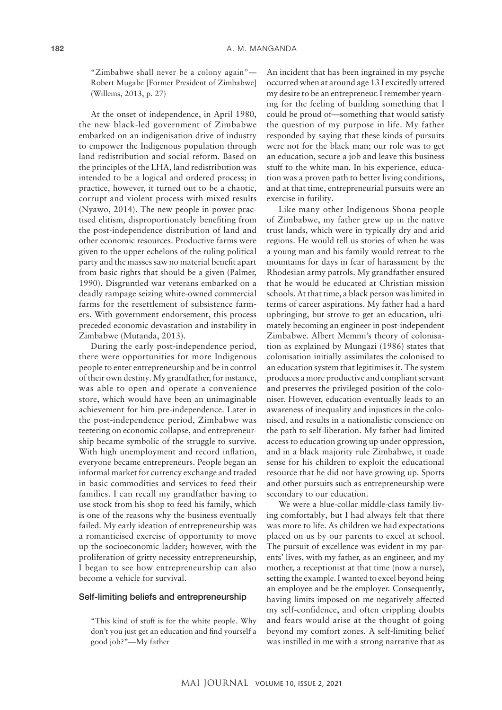"Zimbabwe shall never be a colony again"— Robert Mugabe [Former President of Zimbabwe] (Willems, 2013, p. 27)

At the onset of independence, in April 1980, the new black-led government of Zimbabwe embarked on an indigenisation drive of industry to empower the Indigenous population through land redistribution and social reform. Based on the principles of the LHA, land redistribution was intended to be a logical and ordered process; in practice, however, it turned out to be a chaotic, corrupt and violent process with mixed results (Nyawo, 2014). The new people in power practised elitism, disproportionately benefiting from the post-independence distribution of land and other economic resources. Productive farms were given to the upper echelons of the ruling political party and the masses saw no material benefit apart from basic rights that should be a given (Palmer, 1990). Disgruntled war veterans embarked on a deadly rampage seizing white-owned commercial farms for the resettlement of subsistence farmers. With government endorsement, this process preceded economic devastation and instability in Zimbabwe (Mutanda, 2013).

During the early post-independence period, there were opportunities for more Indigenous people to enter entrepreneurship and be in control of their own destiny. My grandfather, for instance, was able to open and operate a convenience store, which would have been an unimaginable achievement for him pre-independence. Later in the post-independence period, Zimbabwe was teetering on economic collapse, and entrepreneurship became symbolic of the struggle to survive. With high unemployment and record inflation, everyone became entrepreneurs. People began an informal market for currency exchange and traded in basic commodities and services to feed their families. I can recall my grandfather having to use stock from his shop to feed his family, which is one of the reasons why the business eventually failed. My early ideation of entrepreneurship was a romanticised exercise of opportunity to move up the socioeconomic ladder; however, with the proliferation of gritty necessity entrepreneurship, I began to see how entrepreneurship can also become a vehicle for survival.

#### Self-limiting beliefs and entrepreneurship

"This kind of stuff is for the white people. Why don't you just get an education and find yourself a good job?"—My father

An incident that has been ingrained in my psyche occurred when at around age 13 I excitedly uttered my desire to be an entrepreneur. I remember yearning for the feeling of building something that I could be proud of—something that would satisfy the question of my purpose in life. My father responded by saying that these kinds of pursuits were not for the black man; our role was to get an education, secure a job and leave this business stuff to the white man. In his experience, education was a proven path to better living conditions, and at that time, entrepreneurial pursuits were an exercise in futility.

Like many other Indigenous Shona people of Zimbabwe, my father grew up in the native trust lands, which were in typically dry and arid regions. He would tell us stories of when he was a young man and his family would retreat to the mountains for days in fear of harassment by the Rhodesian army patrols. My grandfather ensured that he would be educated at Christian mission schools. At that time, a black person was limited in terms of career aspirations. My father had a hard upbringing, but strove to get an education, ultimately becoming an engineer in post-independent Zimbabwe. Albert Memmi's theory of colonisation as explained by Mungazi (1986) states that colonisation initially assimilates the colonised to an education system that legitimises it. The system produces a more productive and compliant servant and preserves the privileged position of the coloniser. However, education eventually leads to an awareness of inequality and injustices in the colonised, and results in a nationalistic conscience on the path to self-liberation. My father had limited access to education growing up under oppression, and in a black majority rule Zimbabwe, it made sense for his children to exploit the educational resource that he did not have growing up. Sports and other pursuits such as entrepreneurship were secondary to our education.

We were a blue-collar middle-class family living comfortably, but I had always felt that there was more to life. As children we had expectations placed on us by our parents to excel at school. The pursuit of excellence was evident in my parents' lives, with my father, as an engineer, and my mother, a receptionist at that time (now a nurse), setting the example. I wanted to excel beyond being an employee and be the employer. Consequently, having limits imposed on me negatively affected my self-confidence, and often crippling doubts and fears would arise at the thought of going beyond my comfort zones. A self-limiting belief was instilled in me with a strong narrative that as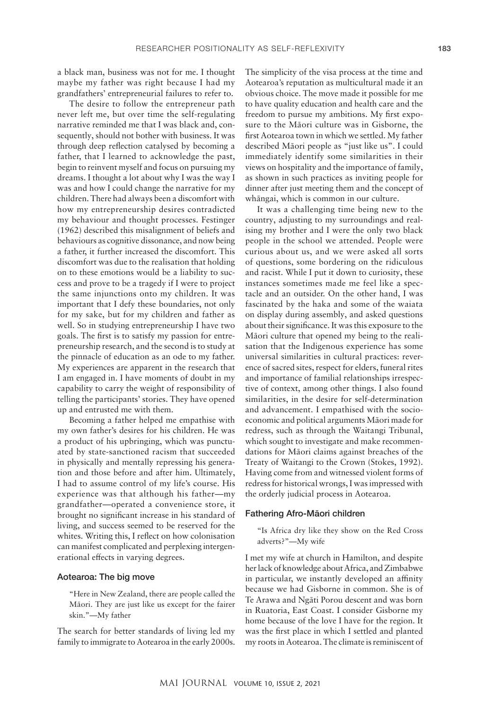a black man, business was not for me. I thought maybe my father was right because I had my grandfathers' entrepreneurial failures to refer to.

The desire to follow the entrepreneur path never left me, but over time the self-regulating narrative reminded me that I was black and, consequently, should not bother with business. It was through deep reflection catalysed by becoming a father, that I learned to acknowledge the past, begin to reinvent myself and focus on pursuing my dreams. I thought a lot about why I was the way I was and how I could change the narrative for my children. There had always been a discomfort with how my entrepreneurship desires contradicted my behaviour and thought processes. Festinger (1962) described this misalignment of beliefs and behaviours as cognitive dissonance, and now being a father, it further increased the discomfort. This discomfort was due to the realisation that holding on to these emotions would be a liability to success and prove to be a tragedy if I were to project the same injunctions onto my children. It was important that I defy these boundaries, not only for my sake, but for my children and father as well. So in studying entrepreneurship I have two goals. The first is to satisfy my passion for entrepreneurship research, and the second is to study at the pinnacle of education as an ode to my father. My experiences are apparent in the research that I am engaged in. I have moments of doubt in my capability to carry the weight of responsibility of telling the participants' stories. They have opened up and entrusted me with them.

Becoming a father helped me empathise with my own father's desires for his children. He was a product of his upbringing, which was punctuated by state-sanctioned racism that succeeded in physically and mentally repressing his generation and those before and after him. Ultimately, I had to assume control of my life's course. His experience was that although his father—my grandfather—operated a convenience store, it brought no significant increase in his standard of living, and success seemed to be reserved for the whites. Writing this, I reflect on how colonisation can manifest complicated and perplexing intergenerational effects in varying degrees.

#### Aotearoa: The big move

"Here in New Zealand, there are people called the Māori. They are just like us except for the fairer skin."—My father

The search for better standards of living led my family to immigrate to Aotearoa in the early 2000s. The simplicity of the visa process at the time and Aotearoa's reputation as multicultural made it an obvious choice. The move made it possible for me to have quality education and health care and the freedom to pursue my ambitions. My first exposure to the Māori culture was in Gisborne, the first Aotearoa town in which we settled. My father described Māori people as "just like us". I could immediately identify some similarities in their views on hospitality and the importance of family, as shown in such practices as inviting people for dinner after just meeting them and the concept of whāngai, which is common in our culture.

It was a challenging time being new to the country, adjusting to my surroundings and realising my brother and I were the only two black people in the school we attended. People were curious about us, and we were asked all sorts of questions, some bordering on the ridiculous and racist. While I put it down to curiosity, these instances sometimes made me feel like a spectacle and an outsider. On the other hand, I was fascinated by the haka and some of the waiata on display during assembly, and asked questions about their significance. It was this exposure to the Māori culture that opened my being to the realisation that the Indigenous experience has some universal similarities in cultural practices: reverence of sacred sites, respect for elders, funeral rites and importance of familial relationships irrespective of context, among other things. I also found similarities, in the desire for self-determination and advancement. I empathised with the socioeconomic and political arguments Māori made for redress, such as through the Waitangi Tribunal, which sought to investigate and make recommendations for Māori claims against breaches of the Treaty of Waitangi to the Crown (Stokes, 1992). Having come from and witnessed violent forms of redress for historical wrongs, I was impressed with the orderly judicial process in Aotearoa.

#### Fathering Afro-Māori children

"Is Africa dry like they show on the Red Cross adverts?"—My wife

I met my wife at church in Hamilton, and despite her lack of knowledge about Africa, and Zimbabwe in particular, we instantly developed an affinity because we had Gisborne in common. She is of Te Arawa and Ngāti Porou descent and was born in Ruatoria, East Coast. I consider Gisborne my home because of the love I have for the region. It was the first place in which I settled and planted my roots in Aotearoa. The climate is reminiscent of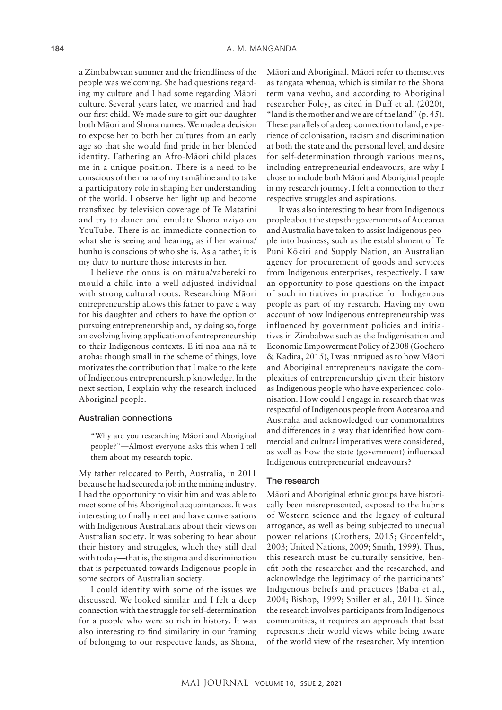a Zimbabwean summer and the friendliness of the people was welcoming. She had questions regarding my culture and I had some regarding Māori culture. Several years later, we married and had our first child. We made sure to gift our daughter both Māori and Shona names. We made a decision to expose her to both her cultures from an early age so that she would find pride in her blended identity. Fathering an Afro-Māori child places me in a unique position. There is a need to be conscious of the mana of my tamāhine and to take a participatory role in shaping her understanding of the world. I observe her light up and become transfixed by television coverage of Te Matatini and try to dance and emulate Shona nziyo on YouTube. There is an immediate connection to what she is seeing and hearing, as if her wairua/ hunhu is conscious of who she is. As a father, it is my duty to nurture those interests in her.

I believe the onus is on mātua/vabereki to mould a child into a well-adjusted individual with strong cultural roots. Researching Māori entrepreneurship allows this father to pave a way for his daughter and others to have the option of pursuing entrepreneurship and, by doing so, forge an evolving living application of entrepreneurship to their Indigenous contexts. E iti noa ana nā te aroha: though small in the scheme of things, love motivates the contribution that I make to the kete of Indigenous entrepreneurship knowledge. In the next section, I explain why the research included Aboriginal people.

#### Australian connections

"Why are you researching Māori and Aboriginal people?"—Almost everyone asks this when I tell them about my research topic.

My father relocated to Perth, Australia, in 2011 because he had secured a job in the mining industry. I had the opportunity to visit him and was able to meet some of his Aboriginal acquaintances. It was interesting to finally meet and have conversations with Indigenous Australians about their views on Australian society. It was sobering to hear about their history and struggles, which they still deal with today—that is, the stigma and discrimination that is perpetuated towards Indigenous people in some sectors of Australian society.

I could identify with some of the issues we discussed. We looked similar and I felt a deep connection with the struggle for self-determination for a people who were so rich in history. It was also interesting to find similarity in our framing of belonging to our respective lands, as Shona, Māori and Aboriginal. Māori refer to themselves as tangata whenua, which is similar to the Shona term vana vevhu, and according to Aboriginal researcher Foley, as cited in Duff et al. (2020), "land is the mother and we are of the land" (p. 45). These parallels of a deep connection to land, experience of colonisation, racism and discrimination at both the state and the personal level, and desire for self-determination through various means, including entrepreneurial endeavours, are why I chose to include both Māori and Aboriginal people in my research journey. I felt a connection to their respective struggles and aspirations.

It was also interesting to hear from Indigenous people about the steps the governments of Aotearoa and Australia have taken to assist Indigenous people into business, such as the establishment of Te Puni Kōkiri and Supply Nation, an Australian agency for procurement of goods and services from Indigenous enterprises, respectively. I saw an opportunity to pose questions on the impact of such initiatives in practice for Indigenous people as part of my research. Having my own account of how Indigenous entrepreneurship was influenced by government policies and initiatives in Zimbabwe such as the Indigenisation and Economic Empowerment Policy of 2008 (Gochero & Kadira, 2015), I was intrigued as to how Māori and Aboriginal entrepreneurs navigate the complexities of entrepreneurship given their history as Indigenous people who have experienced colonisation. How could I engage in research that was respectful of Indigenous people from Aotearoa and Australia and acknowledged our commonalities and differences in a way that identified how commercial and cultural imperatives were considered, as well as how the state (government) influenced Indigenous entrepreneurial endeavours?

## The research

Māori and Aboriginal ethnic groups have historically been misrepresented, exposed to the hubris of Western science and the legacy of cultural arrogance, as well as being subjected to unequal power relations (Crothers, 2015; Groenfeldt, 2003; United Nations, 2009; Smith, 1999). Thus, this research must be culturally sensitive, benefit both the researcher and the researched, and acknowledge the legitimacy of the participants' Indigenous beliefs and practices (Baba et al., 2004; Bishop, 1999; Spiller et al., 2011). Since the research involves participants from Indigenous communities, it requires an approach that best represents their world views while being aware of the world view of the researcher. My intention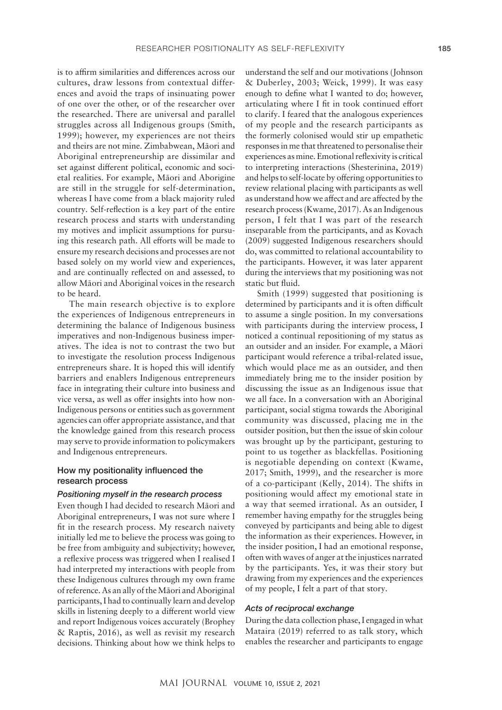is to affirm similarities and differences across our cultures, draw lessons from contextual differences and avoid the traps of insinuating power of one over the other, or of the researcher over the researched. There are universal and parallel struggles across all Indigenous groups (Smith, 1999); however, my experiences are not theirs and theirs are not mine. Zimbabwean, Māori and Aboriginal entrepreneurship are dissimilar and set against different political, economic and societal realities. For example, Māori and Aborigine are still in the struggle for self-determination, whereas I have come from a black majority ruled country. Self-reflection is a key part of the entire research process and starts with understanding my motives and implicit assumptions for pursuing this research path. All efforts will be made to ensure my research decisions and processes are not based solely on my world view and experiences, and are continually reflected on and assessed, to allow Māori and Aboriginal voices in the research to be heard.

The main research objective is to explore the experiences of Indigenous entrepreneurs in determining the balance of Indigenous business imperatives and non-Indigenous business imperatives. The idea is not to contrast the two but to investigate the resolution process Indigenous entrepreneurs share. It is hoped this will identify barriers and enablers Indigenous entrepreneurs face in integrating their culture into business and vice versa, as well as offer insights into how non-Indigenous persons or entities such as government agencies can offer appropriate assistance, and that the knowledge gained from this research process may serve to provide information to policymakers and Indigenous entrepreneurs.

## How my positionality influenced the research process

#### *Positioning myself in the research process*

Even though I had decided to research Māori and Aboriginal entrepreneurs, I was not sure where I fit in the research process. My research naivety initially led me to believe the process was going to be free from ambiguity and subjectivity; however, a reflexive process was triggered when I realised I had interpreted my interactions with people from these Indigenous cultures through my own frame of reference. As an ally of the Māori and Aboriginal participants, I had to continually learn and develop skills in listening deeply to a different world view and report Indigenous voices accurately (Brophey & Raptis, 2016), as well as revisit my research decisions. Thinking about how we think helps to

understand the self and our motivations (Johnson & Duberley, 2003; Weick, 1999). It was easy enough to define what I wanted to do; however, articulating where I fit in took continued effort to clarify. I feared that the analogous experiences of my people and the research participants as the formerly colonised would stir up empathetic responses in me that threatened to personalise their experiences as mine. Emotional reflexivity is critical to interpreting interactions (Shesterinina, 2019) and helps to self-locate by offering opportunities to review relational placing with participants as well as understand how we affect and are affected by the research process (Kwame, 2017). As an Indigenous person, I felt that I was part of the research inseparable from the participants, and as Kovach (2009) suggested Indigenous researchers should do, was committed to relational accountability to the participants. However, it was later apparent during the interviews that my positioning was not static but fluid.

Smith (1999) suggested that positioning is determined by participants and it is often difficult to assume a single position. In my conversations with participants during the interview process, I noticed a continual repositioning of my status as an outsider and an insider. For example, a Māori participant would reference a tribal-related issue, which would place me as an outsider, and then immediately bring me to the insider position by discussing the issue as an Indigenous issue that we all face. In a conversation with an Aboriginal participant, social stigma towards the Aboriginal community was discussed, placing me in the outsider position, but then the issue of skin colour was brought up by the participant, gesturing to point to us together as blackfellas. Positioning is negotiable depending on context (Kwame, 2017; Smith, 1999), and the researcher is more of a co-participant (Kelly, 2014). The shifts in positioning would affect my emotional state in a way that seemed irrational. As an outsider, I remember having empathy for the struggles being conveyed by participants and being able to digest the information as their experiences. However, in the insider position, I had an emotional response, often with waves of anger at the injustices narrated by the participants. Yes, it was their story but drawing from my experiences and the experiences of my people, I felt a part of that story.

#### *Acts of reciprocal exchange*

During the data collection phase, I engaged in what Mataira (2019) referred to as talk story, which enables the researcher and participants to engage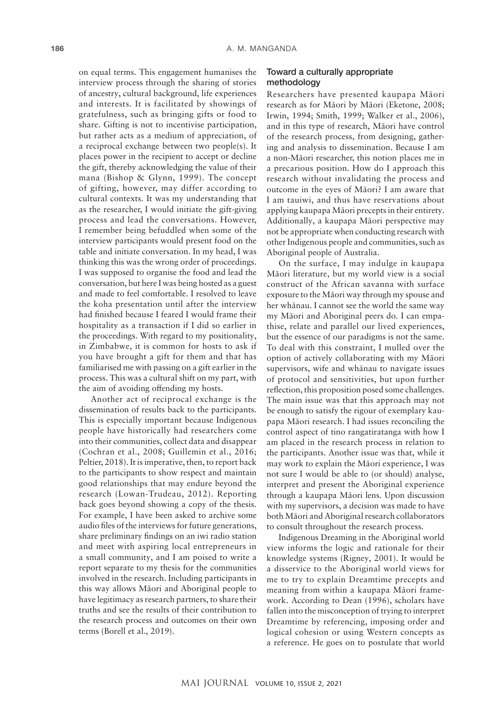on equal terms. This engagement humanises the interview process through the sharing of stories of ancestry, cultural background, life experiences and interests. It is facilitated by showings of gratefulness, such as bringing gifts or food to share. Gifting is not to incentivise participation, but rather acts as a medium of appreciation, of a reciprocal exchange between two people(s). It places power in the recipient to accept or decline the gift, thereby acknowledging the value of their mana (Bishop & Glynn, 1999). The concept of gifting, however, may differ according to cultural contexts. It was my understanding that as the researcher, I would initiate the gift-giving process and lead the conversations. However, I remember being befuddled when some of the interview participants would present food on the table and initiate conversation. In my head, I was thinking this was the wrong order of proceedings. I was supposed to organise the food and lead the conversation, but here I was being hosted as a guest and made to feel comfortable. I resolved to leave the koha presentation until after the interview had finished because I feared I would frame their hospitality as a transaction if I did so earlier in the proceedings. With regard to my positionality, in Zimbabwe, it is common for hosts to ask if you have brought a gift for them and that has familiarised me with passing on a gift earlier in the process. This was a cultural shift on my part, with the aim of avoiding offending my hosts.

Another act of reciprocal exchange is the dissemination of results back to the participants. This is especially important because Indigenous people have historically had researchers come into their communities, collect data and disappear (Cochran et al., 2008; Guillemin et al., 2016; Peltier, 2018). It is imperative, then, to report back to the participants to show respect and maintain good relationships that may endure beyond the research (Lowan-Trudeau, 2012). Reporting back goes beyond showing a copy of the thesis. For example, I have been asked to archive some audio files of the interviews for future generations, share preliminary findings on an iwi radio station and meet with aspiring local entrepreneurs in a small community, and I am poised to write a report separate to my thesis for the communities involved in the research. Including participants in this way allows Māori and Aboriginal people to have legitimacy as research partners, to share their truths and see the results of their contribution to the research process and outcomes on their own terms (Borell et al., 2019).

## Toward a culturally appropriate methodology

Researchers have presented kaupapa Māori research as for Māori by Māori (Eketone, 2008; Irwin, 1994; Smith, 1999; Walker et al., 2006), and in this type of research, Māori have control of the research process, from designing, gathering and analysis to dissemination. Because I am a non-Māori researcher, this notion places me in a precarious position. How do I approach this research without invalidating the process and outcome in the eyes of Māori? I am aware that I am tauiwi, and thus have reservations about applying kaupapa Māori precepts in their entirety. Additionally, a kaupapa Māori perspective may not be appropriate when conducting research with other Indigenous people and communities, such as Aboriginal people of Australia.

On the surface, I may indulge in kaupapa Māori literature, but my world view is a social construct of the African savanna with surface exposure to the Māori way through my spouse and her whānau. I cannot see the world the same way my Māori and Aboriginal peers do. I can empathise, relate and parallel our lived experiences, but the essence of our paradigms is not the same. To deal with this constraint, I mulled over the option of actively collaborating with my Māori supervisors, wife and whānau to navigate issues of protocol and sensitivities, but upon further reflection, this proposition posed some challenges. The main issue was that this approach may not be enough to satisfy the rigour of exemplary kaupapa Māori research. I had issues reconciling the control aspect of tino rangatiratanga with how I am placed in the research process in relation to the participants. Another issue was that, while it may work to explain the Māori experience, I was not sure I would be able to (or should) analyse, interpret and present the Aboriginal experience through a kaupapa Māori lens. Upon discussion with my supervisors, a decision was made to have both Māori and Aboriginal research collaborators to consult throughout the research process.

Indigenous Dreaming in the Aboriginal world view informs the logic and rationale for their knowledge systems (Rigney, 2001). It would be a disservice to the Aboriginal world views for me to try to explain Dreamtime precepts and meaning from within a kaupapa Māori framework. According to Dean (1996), scholars have fallen into the misconception of trying to interpret Dreamtime by referencing, imposing order and logical cohesion or using Western concepts as a reference. He goes on to postulate that world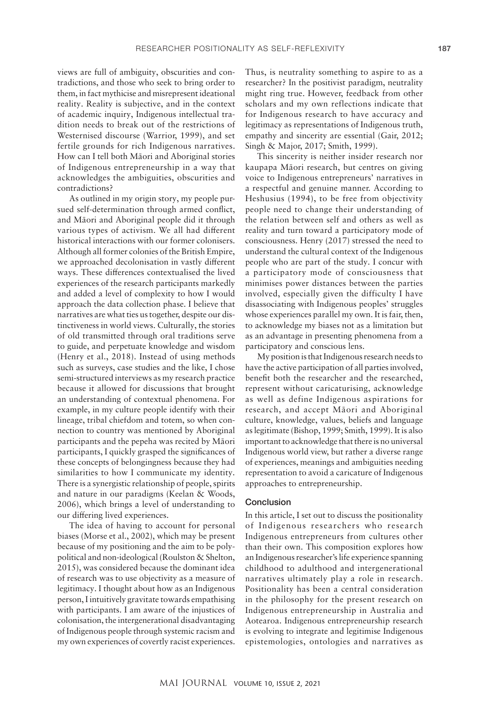views are full of ambiguity, obscurities and contradictions, and those who seek to bring order to them, in fact mythicise and misrepresent ideational reality. Reality is subjective, and in the context of academic inquiry, Indigenous intellectual tradition needs to break out of the restrictions of Westernised discourse (Warrior, 1999), and set fertile grounds for rich Indigenous narratives. How can I tell both Māori and Aboriginal stories of Indigenous entrepreneurship in a way that acknowledges the ambiguities, obscurities and contradictions?

As outlined in my origin story, my people pursued self-determination through armed conflict, and Māori and Aboriginal people did it through various types of activism. We all had different historical interactions with our former colonisers. Although all former colonies of the British Empire, we approached decolonisation in vastly different ways. These differences contextualised the lived experiences of the research participants markedly and added a level of complexity to how I would approach the data collection phase. I believe that narratives are what ties us together, despite our distinctiveness in world views. Culturally, the stories of old transmitted through oral traditions serve to guide, and perpetuate knowledge and wisdom (Henry et al., 2018). Instead of using methods such as surveys, case studies and the like, I chose semi-structured interviews as my research practice because it allowed for discussions that brought an understanding of contextual phenomena. For example, in my culture people identify with their lineage, tribal chiefdom and totem, so when connection to country was mentioned by Aboriginal participants and the pepeha was recited by Māori participants, I quickly grasped the significances of these concepts of belongingness because they had similarities to how I communicate my identity. There is a synergistic relationship of people, spirits and nature in our paradigms (Keelan & Woods, 2006), which brings a level of understanding to our differing lived experiences.

The idea of having to account for personal biases (Morse et al., 2002), which may be present because of my positioning and the aim to be polypolitical and non-ideological (Roulston & Shelton, 2015), was considered because the dominant idea of research was to use objectivity as a measure of legitimacy. I thought about how as an Indigenous person, I intuitively gravitate towards empathising with participants. I am aware of the injustices of colonisation, the intergenerational disadvantaging of Indigenous people through systemic racism and my own experiences of covertly racist experiences. Thus, is neutrality something to aspire to as a researcher? In the positivist paradigm, neutrality might ring true. However, feedback from other scholars and my own reflections indicate that for Indigenous research to have accuracy and legitimacy as representations of Indigenous truth, empathy and sincerity are essential (Gair, 2012; Singh & Major, 2017; Smith, 1999).

This sincerity is neither insider research nor kaupapa Māori research, but centres on giving voice to Indigenous entrepreneurs' narratives in a respectful and genuine manner. According to Heshusius (1994), to be free from objectivity people need to change their understanding of the relation between self and others as well as reality and turn toward a participatory mode of consciousness. Henry (2017) stressed the need to understand the cultural context of the Indigenous people who are part of the study. I concur with a participatory mode of consciousness that minimises power distances between the parties involved, especially given the difficulty I have disassociating with Indigenous peoples' struggles whose experiences parallel my own. It is fair, then, to acknowledge my biases not as a limitation but as an advantage in presenting phenomena from a participatory and conscious lens.

My position is that Indigenous research needs to have the active participation of all parties involved, benefit both the researcher and the researched, represent without caricaturising, acknowledge as well as define Indigenous aspirations for research, and accept Māori and Aboriginal culture, knowledge, values, beliefs and language as legitimate (Bishop, 1999; Smith, 1999). It is also important to acknowledge that there is no universal Indigenous world view, but rather a diverse range of experiences, meanings and ambiguities needing representation to avoid a caricature of Indigenous approaches to entrepreneurship.

## Conclusion

In this article, I set out to discuss the positionality of Indigenous researchers who research Indigenous entrepreneurs from cultures other than their own. This composition explores how an Indigenous researcher's life experience spanning childhood to adulthood and intergenerational narratives ultimately play a role in research. Positionality has been a central consideration in the philosophy for the present research on Indigenous entrepreneurship in Australia and Aotearoa. Indigenous entrepreneurship research is evolving to integrate and legitimise Indigenous epistemologies, ontologies and narratives as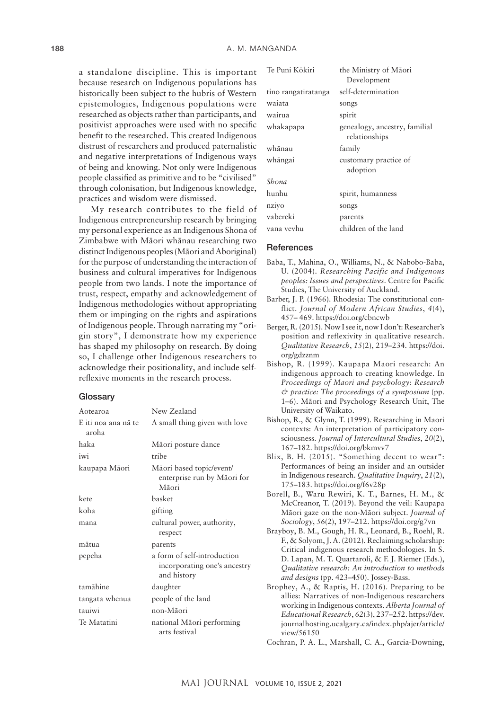a standalone discipline. This is important because research on Indigenous populations has historically been subject to the hubris of Western epistemologies, Indigenous populations were researched as objects rather than participants, and positivist approaches were used with no specific benefit to the researched. This created Indigenous distrust of researchers and produced paternalistic and negative interpretations of Indigenous ways of being and knowing. Not only were Indigenous people classified as primitive and to be "civilised" through colonisation, but Indigenous knowledge, practices and wisdom were dismissed.

My research contributes to the field of Indigenous entrepreneurship research by bringing my personal experience as an Indigenous Shona of Zimbabwe with Māori whānau researching two distinct Indigenous peoples (Māori and Aboriginal) for the purpose of understanding the interaction of business and cultural imperatives for Indigenous people from two lands. I note the importance of trust, respect, empathy and acknowledgement of Indigenous methodologies without appropriating them or impinging on the rights and aspirations of Indigenous people. Through narrating my "origin story", I demonstrate how my experience has shaped my philosophy on research. By doing so, I challenge other Indigenous researchers to acknowledge their positionality, and include selfreflexive moments in the research process.

#### **Glossarv**

| Aotearoa                     | New Zealand                                                                |
|------------------------------|----------------------------------------------------------------------------|
| E iti noa ana nā te<br>aroha | A small thing given with love                                              |
| haka                         | Māori posture dance                                                        |
| iwi                          | tribe                                                                      |
| kaupapa Māori                | Māori based topic/event/<br>enterprise run by Māori for<br>Māori           |
| kete                         | basket                                                                     |
| koha                         | gifting                                                                    |
| mana                         | cultural power, authority,<br>respect                                      |
| mātua                        | parents                                                                    |
| pepeha                       | a form of self-introduction<br>incorporating one's ancestry<br>and history |
| tamāhine                     | daughter                                                                   |
| tangata whenua               | people of the land                                                         |
| tauiwi                       | non-Māori                                                                  |
| Te Matatini                  | national Māori performing<br>arts festival                                 |

| Te Puni Kōkiri      | the Ministry of Māori<br>Development           |
|---------------------|------------------------------------------------|
| tino rangatiratanga | self-determination                             |
| waiata              | songs                                          |
| wairua              | spirit                                         |
| whakapapa           | genealogy, ancestry, familial<br>relationships |
| whānau              | family                                         |
| whāngai             | customary practice of<br>adoption              |
| Shona               |                                                |
| hunhu               | spirit, humanness                              |
| nziyo               | songs                                          |
| vabereki            | parents                                        |
| vana vevhu          | children of the land                           |

#### **References**

- Baba, T., Mahina, O., Williams, N., & Nabobo-Baba, U. (2004). *Researching Pacific and Indigenous peoples: Issues and perspectives*. Centre for Pacific Studies, The University of Auckland.
- Barber, J. P. (1966). Rhodesia: The constitutional conflict. *Journal of Modern African Studies*, *4*(4), 457– 469.<https://doi.org/cbncwb>
- Berger, R. (2015). Now I see it, now I don't: Researcher's position and reflexivity in qualitative research. *Qualitative Research*, *15*(2), 219–234. [https://doi.](https://doi.org/gdzznm) [org/gdzznm](https://doi.org/gdzznm)
- Bishop, R. (1999). Kaupapa Maori research: An indigenous approach to creating knowledge. In *Proceedings of Maori and psychology: Research & practice: The proceedings of a symposium* (pp. 1–6). Māori and Psychology Research Unit, The University of Waikato.
- Bishop, R., & Glynn, T. (1999). Researching in Maori contexts: An interpretation of participatory consciousness. *Journal of Intercultural Studies*, *20*(2), 167–182. <https://doi.org/bkmvv7>
- Blix, B. H. (2015). "Something decent to wear": Performances of being an insider and an outsider in Indigenous research. *Qualitative Inquiry*, *21*(2), 175–183. <https://doi.org/f6v28p>
- Borell, B., Waru Rewiri, K. T., Barnes, H. M., & McCreanor, T. (2019). Beyond the veil: Kaupapa Māori gaze on the non-Māori subject. *Journal of Sociology*, *56*(2), 197–212.<https://doi.org/g7vn>
- Brayboy, B. M., Gough, H. R., Leonard, B., Roehl, R. F., & Solyom, J. A. (2012). Reclaiming scholarship: Critical indigenous research methodologies. In S. D. Lapan, M. T. Quartaroli, & F. J. Riemer (Eds.), *Qualitative research: An introduction to methods and designs* (pp. 423–450). Jossey-Bass.
- Brophey, A., & Raptis, H. (2016). Preparing to be allies: Narratives of non-Indigenous researchers working in Indigenous contexts. *Alberta Journal of Educational Research*, *62*(3), 237–252. [https://dev.](https://dev.journalhosting.ucalgary.ca/index.php/ajer/article/view/56150) [journalhosting.ucalgary.ca/index.php/ajer/article/](https://dev.journalhosting.ucalgary.ca/index.php/ajer/article/view/56150) [view/56150](https://dev.journalhosting.ucalgary.ca/index.php/ajer/article/view/56150)

Cochran, P. A. L., Marshall, C. A., Garcia-Downing,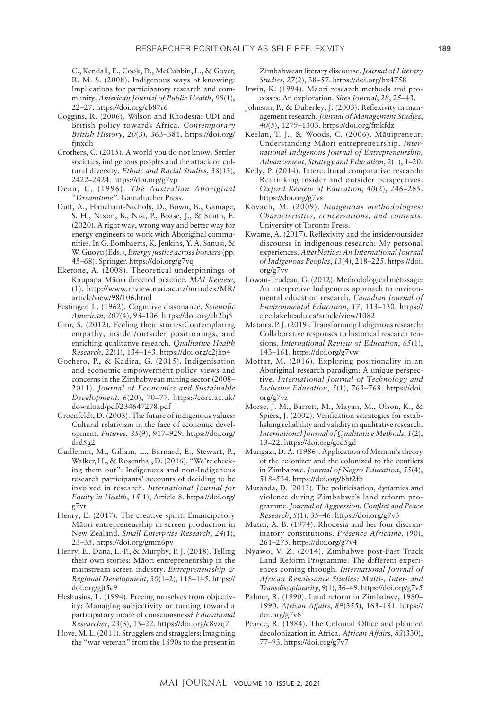C., Kendall, E., Cook, D., McCubbin, L., & Gover, R. M. S. (2008). Indigenous ways of knowing: Implications for participatory research and community. *American Journal of Public Health*, *98*(1), 22–27.<https://doi.org/cb87r6>

- Coggins, R. (2006). Wilson and Rhodesia: UDI and British policy towards Africa. *Contemporary British History*, *20*(3), 363–381. [https://doi.org/](https://doi.org/fjnxdh) [fjnxdh](https://doi.org/fjnxdh)
- Crothers, C. (2015). A world you do not know: Settler societies, indigenous peoples and the attack on cultural diversity. *Ethnic and Racial Studies*, *38*(13), 2422–2424.<https://doi.org/g7vp>
- Dean, C. (1996). *The Australian Aboriginal "Dreamtime".* Gamahucher Press.
- Duff, A., Hanchant-Nichols, D., Bown, B., Gamage, S. H., Nixon, B., Nisi, P., Boase, J., & Smith, E. (2020). A right way, wrong way and better way for energy engineers to work with Aboriginal communities. In G. Bombaerts, K. Jenkins, Y. A. Sanusi, & W. Guoyu (Eds.), *Energy justice across borders* (pp. 45–68). Springer.<https://doi.org/g7vq>
- Eketone, A. (2008). Theoretical underpinnings of Kaupapa Māori directed practice. *MAI Review*, (1). [http://www.review.mai.ac.nz/mrindex/MR/](http://www.review.mai.ac.nz/mrindex/MR/article/view/98/106.html) [article/view/98/106.html](http://www.review.mai.ac.nz/mrindex/MR/article/view/98/106.html)
- Festinger, L. (1962). Cognitive dissonance. *Scientific American*, *207*(4), 93–106.<https://doi.org/ch2bj5>
- Gair, S. (2012). Feeling their stories:Contemplating empathy, insider/outsider positionings, and enriching qualitative research. *Qualitative Health Research*, *22*(1), 134–143.<https://doi.org/c2jhp4>
- Gochero, P., & Kadira, G. (2015). Indigenisation and economic empowerment policy views and concerns in the Zimbabwean mining sector (2008– 2011). *Journal of Economics and Sustainable Development*, *6*(20), 70–77. [https://core.ac.uk/](https://core.ac.uk/download/pdf/234647278.pdf) [download/pdf/234647278.pdf](https://core.ac.uk/download/pdf/234647278.pdf)
- Groenfeldt, D. (2003). The future of indigenous values: Cultural relativism in the face of economic development. *Futures*, *35*(9), 917–929. [https://doi.org/](https://doi.org/drd5g2) [drd5g2](https://doi.org/drd5g2)
- Guillemin, M., Gillam, L., Barnard, E., Stewart, P., Walker, H., & Rosenthal, D. (2016). "We're checking them out": Indigenous and non-Indigenous research participants' accounts of deciding to be involved in research. *International Journal for Equity in Health*, *15*(1), Article 8. [https://doi.org/](https://doi.org/g7vr) [g7vr](https://doi.org/g7vr)
- Henry, E. (2017). The creative spirit: Emancipatory Māori entrepreneurship in screen production in New Zealand. *Small Enterprise Research*, *24*(1), 23–35.<https://doi.org/gmm6pv>
- Henry, E., Dana, L.-P., & Murphy, P. J. (2018). Telling their own stories: Māori entrepreneurship in the mainstream screen industry. *Entrepreneurship & Regional Development*, *30*(1–2), 118–145. [https://](https://doi.org/gjt5c9) [doi.org/gjt5c9](https://doi.org/gjt5c9)
- Heshusius, L. (1994). Freeing ourselves from objectivity: Managing subjectivity or turning toward a participatory mode of consciousness? *Educational Researcher*, *23*(3), 15–22.<https://doi.org/c8vzq7>
- Hove, M. L. (2011). Strugglers and stragglers: Imagining the "war veteran" from the 1890s to the present in

Zimbabwean literary discourse. *Journal of Literary Studies*, *27*(2), 38–57.<https://doi.org/bx4758>

- Irwin, K. (1994). Māori research methods and processes: An exploration. *Sites Journal*, *28*, 25–43.
- Johnson, P., & Duberley, J. (2003). Reflexivity in management research. *Journal of Management Studies*, *40*(5), 1279–1303.<https://doi.org/fmkfdz>
- Keelan, T. J., & Woods, C. (2006). Māuipreneur: Understanding Māori entrepreneurship. *International Indigenous Journal of Entrepreneurship, Advancement, Strategy and Education*, *2*(1), 1–20.
- Kelly, P. (2014). Intercultural comparative research: Rethinking insider and outsider perspectives. *Oxford Review of Education*, *40*(2), 246–265. <https://doi.org/g7vs>
- Kovach, M. (2009). *Indigenous methodologies: Characteristics, conversations, and contexts*. University of Toronto Press.
- Kwame, A. (2017). Reflexivity and the insider/outsider discourse in indigenous research: My personal experiences. *AlterNative: An International Journal of Indigenous Peoples*, *13*(4), 218–225. [https://doi.](https://doi.org/g7vv) [org/g7vv](https://doi.org/g7vv)
- Lowan-Trudeau, G. (2012). Methodological métissage: An interpretive Indigenous approach to environmental education research. *Canadian Journal of Environmental Education*, *17*, 113–130. [https://](https://cjee.lakeheadu.ca/article/view/1082) [cjee.lakeheadu.ca/article/view/1082](https://cjee.lakeheadu.ca/article/view/1082)
- Mataira, P. J. (2019). Transforming Indigenous research: Collaborative responses to historical research tensions. *International Review of Education*, *65*(1), 143–161.<https://doi.org/g7vw>
- Moffat, M. (2016). Exploring positionality in an Aboriginal research paradigm: A unique perspective. *International Journal of Technology and Inclusive Education*, *5*(1), 763–768. [https://doi.](https://doi.org/g7vz) [org/g7vz](https://doi.org/g7vz)
- Morse, J. M., Barrett, M., Mayan, M., Olson, K., & Spiers, J. (2002). Verification sstrategies for establishing reliability and validity in qualitative research. *International Journal of Qualitative Methods*, *1*(2), 13–22.<https://doi.org/gcd5gd>
- Mungazi, D. A. (1986). Application of Memmi's theory of the colonizer and the colonized to the conflicts in Zimbabwe. *Journal of Negro Education*, *55*(4), 518–534.<https://doi.org/bbf2fb>
- Mutanda, D. (2013). The politicisation, dynamics and violence during Zimbabwe's land reform programme. *Journal of Aggression, Conflict and Peace Research*, *5*(1), 35–46.<https://doi.org/g7v3>
- Mutiti, A. B. (1974). Rhodesia and her four discriminatory constitutions. *Présence Africaine*, (90), 261–275.<https://doi.org/g7v4>
- Nyawo, V. Z. (2014). Zimbabwe post-Fast Track Land Reform Programme: The different experiences coming through. *International Journal of African Renaissance Studies: Multi-, Inter- and Transdisciplinarity*, *9*(1), 36–49.<https://doi.org/g7v5>
- Palmer, R. (1990). Land reform in Zimbabwe, 1980– 1990. *African Affairs, 89*(355), 163–181. [https://](https://doi.org/g7v6) [doi.org/g7v6](https://doi.org/g7v6)
- Pearce, R. (1984). The Colonial Office and planned decolonization in Africa. *African Affairs*, *83*(330), 77–93.<https://doi.org/g7v7>